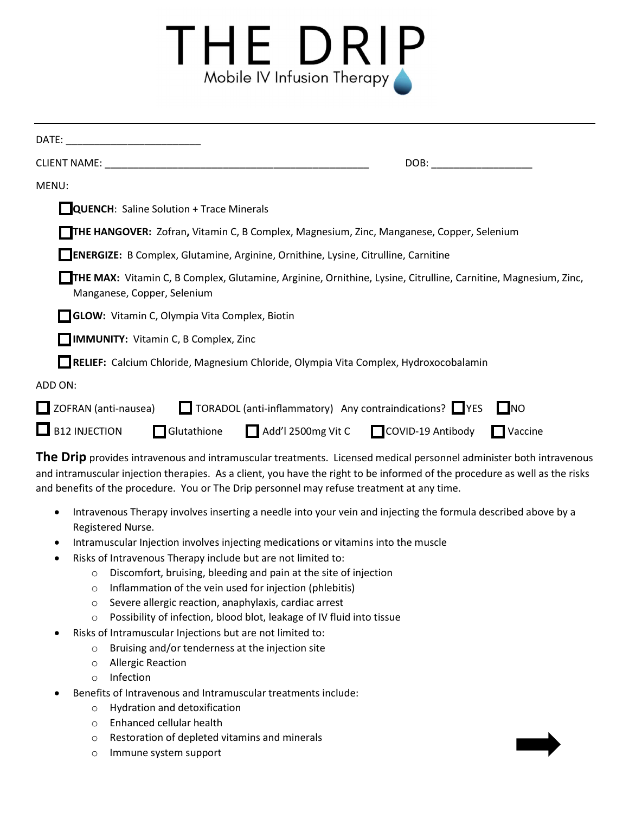## THE DRIP Mobile IV Infusion Therapy

| CLIENT NAME: University of the contract of the contract of the contract of the contract of the contract of the | DOB:                                                                                                               |
|----------------------------------------------------------------------------------------------------------------|--------------------------------------------------------------------------------------------------------------------|
| MENU:                                                                                                          |                                                                                                                    |
| <b>QUENCH:</b> Saline Solution + Trace Minerals                                                                |                                                                                                                    |
|                                                                                                                | <b>THE HANGOVER:</b> Zofran, Vitamin C, B Complex, Magnesium, Zinc, Manganese, Copper, Selenium                    |
|                                                                                                                | <b>ENERGIZE:</b> B Complex, Glutamine, Arginine, Ornithine, Lysine, Citrulline, Carnitine                          |
| Manganese, Copper, Selenium                                                                                    | THE MAX: Vitamin C, B Complex, Glutamine, Arginine, Ornithine, Lysine, Citrulline, Carnitine, Magnesium, Zinc,     |
| GLOW: Vitamin C, Olympia Vita Complex, Biotin                                                                  |                                                                                                                    |
| <b>IMMUNITY:</b> Vitamin C, B Complex, Zinc                                                                    |                                                                                                                    |
|                                                                                                                | RELIEF: Calcium Chloride, Magnesium Chloride, Olympia Vita Complex, Hydroxocobalamin                               |
| ADD ON:                                                                                                        |                                                                                                                    |
| ZOFRAN (anti-nausea)                                                                                           | $\Box$ TORADOL (anti-inflammatory) Any contraindications? $\Box$ YES<br>$\Box$ NO                                  |
| $\Box$ B12 INJECTION                                                                                           | Glutathione Add'I 2500mg Vit C COVID-19 Antibody Vaccine                                                           |
|                                                                                                                | The Drip provides intravenous and intramuscular treatments. Licensed medical personnel administer both intravenous |

and intramuscular injection therapies. As a client, you have the right to be informed of the procedure as well as the risks and benefits of the procedure. You or The Drip personnel may refuse treatment at any time.

- Intravenous Therapy involves inserting a needle into your vein and injecting the formula described above by a Registered Nurse.
- Intramuscular Injection involves injecting medications or vitamins into the muscle
- Risks of Intravenous Therapy include but are not limited to:
	- o Discomfort, bruising, bleeding and pain at the site of injection
	- o Inflammation of the vein used for injection (phlebitis)
	- o Severe allergic reaction, anaphylaxis, cardiac arrest
	- o Possibility of infection, blood blot, leakage of IV fluid into tissue
- Risks of Intramuscular Injections but are not limited to:
	- o Bruising and/or tenderness at the injection site
	- o Allergic Reaction
	- o Infection
- Benefits of Intravenous and Intramuscular treatments include:
	- o Hydration and detoxification
	- o Enhanced cellular health
	- o Restoration of depleted vitamins and minerals
	- o Immune system support